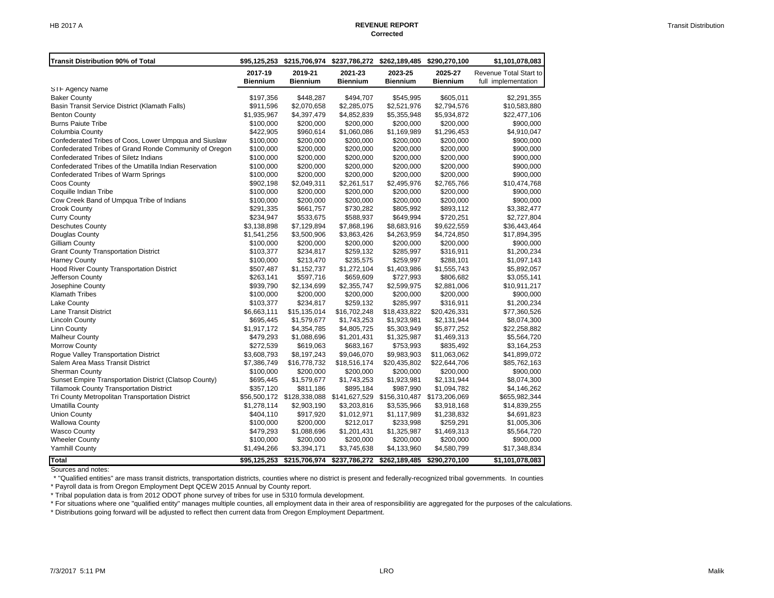| 2019-21<br>2017-19<br><b>Biennium</b><br><b>Biennium</b>                                                                  | 2021-23<br><b>Biennium</b> | 2023-25<br><b>Biennium</b> | 2025-27                   | Revenue Total Start to      |
|---------------------------------------------------------------------------------------------------------------------------|----------------------------|----------------------------|---------------------------|-----------------------------|
|                                                                                                                           |                            |                            | <b>Biennium</b>           | full implementation         |
| STF Agency Name                                                                                                           |                            |                            |                           |                             |
| \$448,287<br><b>Baker County</b><br>\$197,356                                                                             | \$494,707                  | \$545,995                  | \$605,011                 | \$2,291,355                 |
| Basin Transit Service District (Klamath Falls)<br>\$911,596<br>\$2,070,658                                                | \$2,285,075                | \$2,521,976                | \$2,794,576               | \$10,583,880                |
| <b>Benton County</b><br>\$1,935,967<br>\$4,397,479                                                                        | \$4,852,839                | \$5,355,948                | \$5,934,872               | \$22,477,106                |
| <b>Burns Paiute Tribe</b><br>\$100,000<br>\$200,000                                                                       | \$200,000                  | \$200,000                  | \$200,000                 | \$900,000                   |
| Columbia County<br>\$422,905<br>\$960,614                                                                                 | \$1,060,086                | \$1,169,989                | \$1,296,453               | \$4,910,047                 |
| Confederated Tribes of Coos, Lower Umpqua and Siuslaw<br>\$100,000<br>\$200,000                                           | \$200,000                  | \$200,000                  | \$200,000                 | \$900,000                   |
| Confederated Tribes of Grand Ronde Community of Oregon<br>\$100,000<br>\$200,000<br>Confederated Tribes of Siletz Indians | \$200,000                  | \$200,000                  | \$200,000                 | \$900,000                   |
| \$100,000<br>\$200,000<br>Confederated Tribes of the Umatilla Indian Reservation<br>\$100,000<br>\$200,000                | \$200,000<br>\$200,000     | \$200,000<br>\$200,000     | \$200,000<br>\$200,000    | \$900,000<br>\$900,000      |
| Confederated Tribes of Warm Springs<br>\$100,000<br>\$200,000                                                             | \$200,000                  | \$200,000                  | \$200,000                 | \$900,000                   |
| Coos County<br>\$902,198<br>\$2,049,311                                                                                   | \$2,261,517                | \$2,495,976                | \$2,765,766               | \$10,474,768                |
| Coquille Indian Tribe<br>\$100,000<br>\$200,000                                                                           | \$200,000                  | \$200,000                  | \$200,000                 | \$900,000                   |
| Cow Creek Band of Umpqua Tribe of Indians<br>\$100,000<br>\$200,000                                                       | \$200,000                  | \$200,000                  | \$200,000                 | \$900,000                   |
| Crook County<br>\$291,335<br>\$661,757                                                                                    | \$730,282                  | \$805,992                  | \$893,112                 | \$3,382,477                 |
| <b>Curry County</b><br>\$234,947<br>\$533,675                                                                             | \$588,937                  | \$649,994                  | \$720,251                 | \$2,727,804                 |
| \$3,138,898<br><b>Deschutes County</b><br>\$7,129,894                                                                     | \$7,868,196                | \$8,683,916                | \$9,622,559               | \$36,443,464                |
| Douglas County<br>\$1,541,256<br>\$3,500,906                                                                              | \$3,863,426                | \$4,263,959                | \$4,724,850               | \$17,894,395                |
| Gilliam County<br>\$100,000<br>\$200,000                                                                                  | \$200,000                  | \$200,000                  | \$200,000                 | \$900,000                   |
| <b>Grant County Transportation District</b><br>\$103,377<br>\$234,817                                                     | \$259,132                  | \$285,997                  | \$316,911                 | \$1,200,234                 |
| <b>Harney County</b><br>\$100,000<br>\$213,470                                                                            | \$235,575                  | \$259,997                  | \$288,101                 | \$1,097,143                 |
| <b>Hood River County Transportation District</b><br>\$507,487<br>\$1,152,737                                              | \$1,272,104                | \$1,403,986                | \$1,555,743               | \$5,892,057                 |
| Jefferson County<br>\$263,141<br>\$597,716                                                                                | \$659,609                  | \$727,993                  | \$806,682                 | \$3,055,141                 |
| Josephine County<br>\$939,790<br>\$2,134,699                                                                              | \$2,355,747                | \$2,599,975                | \$2,881,006               | \$10,911,217                |
| <b>Klamath Tribes</b><br>\$100,000<br>\$200,000<br>\$103,377<br>\$234,817                                                 | \$200,000                  | \$200,000                  | \$200,000                 | \$900,000                   |
| Lake County<br>Lane Transit District<br>\$6,663,111<br>\$15,135,014                                                       | \$259,132<br>\$16,702,248  | \$285,997<br>\$18,433,822  | \$316,911<br>\$20,426,331 | \$1,200,234<br>\$77,360,526 |
| \$1,579,677<br><b>Lincoln County</b><br>\$695,445                                                                         | \$1,743,253                | \$1,923,981                | \$2,131,944               | \$8,074,300                 |
| <b>Linn County</b><br>\$1,917,172<br>\$4,354,785                                                                          | \$4,805,725                | \$5,303,949                | \$5,877,252               | \$22,258,882                |
| <b>Malheur County</b><br>\$479,293<br>\$1,088,696                                                                         | \$1,201,431                | \$1,325,987                | \$1,469,313               | \$5,564,720                 |
| <b>Morrow County</b><br>\$272,539<br>\$619,063                                                                            | \$683,167                  | \$753,993                  | \$835,492                 | \$3,164,253                 |
| Rogue Valley Transportation District<br>\$3,608,793<br>\$8,197,243                                                        | \$9,046,070                | \$9,983,903                | \$11,063,062              | \$41,899,072                |
| Salem Area Mass Transit District<br>\$7,386,749<br>\$16,778,732                                                           | \$18,516,174               | \$20,435,802               | \$22,644,706              | \$85,762,163                |
| <b>Sherman County</b><br>\$100,000<br>\$200,000                                                                           | \$200,000                  | \$200,000                  | \$200,000                 | \$900,000                   |
| Sunset Empire Transportation District (Clatsop County)<br>\$695,445<br>\$1,579,677                                        | \$1,743,253                | \$1,923,981                | \$2,131,944               | \$8,074,300                 |
| Tillamook County Transportation District<br>\$357,120<br>\$811,186                                                        | \$895,184                  | \$987,990                  | \$1,094,782               | \$4,146,262                 |
| Tri County Metropolitan Transportation District<br>\$56,500,172 \$128,338,088                                             | \$141,627,529              | \$156,310,487              | \$173,206,069             | \$655,982,344               |
| <b>Umatilla County</b><br>\$1,278,114<br>\$2,903,190                                                                      | \$3,203,816                | \$3,535,966                | \$3,918,168               | \$14,839,255                |
| <b>Union County</b><br>\$404,110<br>\$917,920                                                                             | \$1,012,971                | \$1,117,989                | \$1,238,832               | \$4,691,823                 |
| <b>Wallowa County</b><br>\$200,000<br>\$100,000                                                                           | \$212,017                  | \$233,998                  | \$259,291                 | \$1,005,306                 |
| <b>Wasco County</b><br>\$479,293<br>\$1,088,696                                                                           | \$1,201,431                | \$1,325,987                | \$1,469,313               | \$5,564,720                 |
| <b>Wheeler County</b><br>\$100,000<br>\$200,000<br><b>Yamhill County</b><br>\$1,494,266<br>\$3,394,171                    | \$200,000<br>\$3,745,638   | \$200,000<br>\$4,133,960   | \$200,000<br>\$4,580,799  | \$900,000<br>\$17,348,834   |
| <b>Total</b><br>\$95,125,253<br>\$215,706,974                                                                             | \$237,786,272              | \$262,189,485              | \$290,270,100             | \$1,101,078,083             |

Sources and notes:

\* "Qualified entities" are mass transit districts, transportation districts, counties where no district is present and federally-recognized tribal governments. In counties

\* Payroll data is from Oregon Employment Dept QCEW 2015 Annual by County report.

\* Tribal population data is from 2012 ODOT phone survey of tribes for use in 5310 formula development.

\* For situations where one "qualified entity" manages multiple counties, all employment data in their area of responsibilitiy are aggregated for the purposes of the calculations.

\* Distributions going forward will be adjusted to reflect then current data from Oregon Employment Department.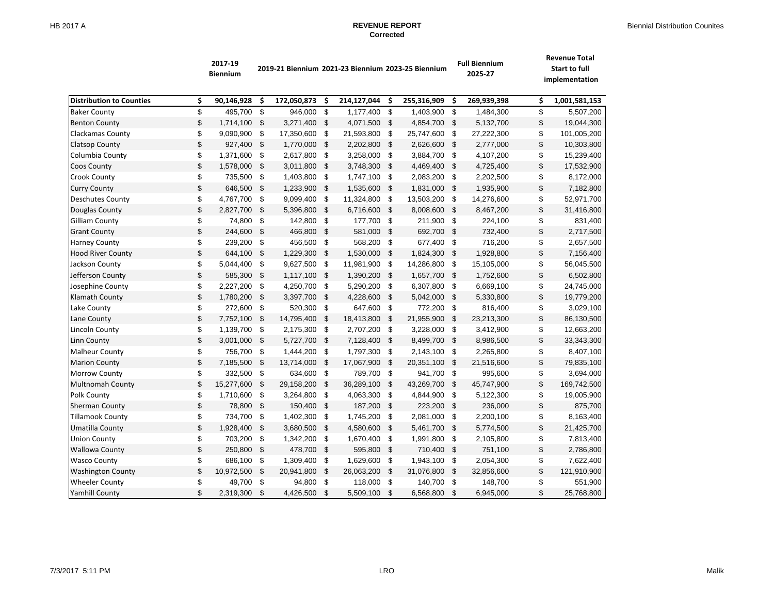|                                 | 2017-19<br><b>Biennium</b> | 2019-21 Biennium 2021-23 Biennium 2023-25 Biennium |             |                           |             |            |             |                    | <b>Full Biennium</b><br>2025-27 | <b>Revenue Total</b><br><b>Start to full</b><br>implementation |  |  |  |
|---------------------------------|----------------------------|----------------------------------------------------|-------------|---------------------------|-------------|------------|-------------|--------------------|---------------------------------|----------------------------------------------------------------|--|--|--|
| <b>Distribution to Counties</b> | \$<br>90,146,928           | \$                                                 | 172,050,873 | \$                        | 214,127,044 | \$         | 255,316,909 | \$.                | 269,939,398                     | \$<br>1,001,581,153                                            |  |  |  |
| <b>Baker County</b>             | \$<br>495.700              | \$                                                 | 946.000     | \$                        | 1,177,400   | \$         | 1,403,900   | $\mathfrak s$      | 1,484,300                       | \$<br>5,507,200                                                |  |  |  |
| <b>Benton County</b>            | \$<br>1,714,100            | \$                                                 | 3,271,400   | \$                        | 4,071,500   | \$         | 4,854,700   | \$                 | 5,132,700                       | \$<br>19,044,300                                               |  |  |  |
| Clackamas County                | \$<br>9,090,900            | \$                                                 | 17,350,600  | \$                        | 21,593,800  | \$         | 25,747,600  | -\$                | 27,222,300                      | \$<br>101,005,200                                              |  |  |  |
| Clatsop County                  | \$<br>927,400              | \$                                                 | 1,770,000   | \$                        | 2,202,800   | \$         | 2,626,600   | \$                 | 2,777,000                       | \$<br>10,303,800                                               |  |  |  |
| Columbia County                 | \$<br>1,371,600            | \$                                                 | 2,617,800   | \$                        | 3,258,000   | \$         | 3,884,700   | \$                 | 4,107,200                       | \$<br>15,239,400                                               |  |  |  |
| Coos County                     | \$<br>1,578,000            | \$                                                 | 3,011,800   | \$                        | 3,748,300   | \$         | 4,469,400   | \$                 | 4,725,400                       | \$<br>17,532,900                                               |  |  |  |
| <b>Crook County</b>             | \$<br>735,500              | \$                                                 | 1,403,800   | \$                        | 1,747,100   | \$         | 2,083,200   | \$                 | 2,202,500                       | \$<br>8,172,000                                                |  |  |  |
| <b>Curry County</b>             | \$<br>646,500              | \$                                                 | 1,233,900   | \$                        | 1,535,600   | \$         | 1,831,000   | \$                 | 1,935,900                       | \$<br>7,182,800                                                |  |  |  |
| <b>Deschutes County</b>         | \$<br>4,767,700            | \$                                                 | 9,099,400   | \$                        | 11,324,800  | \$         | 13,503,200  | \$                 | 14,276,600                      | \$<br>52,971,700                                               |  |  |  |
| Douglas County                  | \$<br>2,827,700            | \$                                                 | 5,396,800   | $\sqrt{2}$                | 6,716,600   | \$         | 8,008,600   | \$                 | 8,467,200                       | \$<br>31,416,800                                               |  |  |  |
| <b>Gilliam County</b>           | \$<br>74,800               | \$                                                 | 142,800     | \$                        | 177,700     | \$         | 211,900     | \$                 | 224,100                         | \$<br>831,400                                                  |  |  |  |
| <b>Grant County</b>             | \$<br>244,600              | \$                                                 | 466,800     | \$                        | 581,000     | \$         | 692,700     | \$                 | 732,400                         | \$<br>2,717,500                                                |  |  |  |
| <b>Harney County</b>            | \$<br>239,200              | \$                                                 | 456,500     | \$                        | 568,200     | \$         | 677,400     | \$                 | 716,200                         | \$<br>2,657,500                                                |  |  |  |
| <b>Hood River County</b>        | \$<br>644,100              | \$                                                 | 1,229,300   | \$                        | 1,530,000   | \$         | 1,824,300   | \$                 | 1,928,800                       | \$<br>7,156,400                                                |  |  |  |
| Jackson County                  | \$<br>5,044,400            | \$                                                 | 9,627,500   | \$                        | 11,981,900  | \$         | 14,286,800  | - \$               | 15,105,000                      | \$<br>56,045,500                                               |  |  |  |
| Jefferson County                | \$<br>585,300              | \$                                                 | 1,117,100   | -\$                       | 1,390,200   | \$         | 1,657,700   | - \$               | 1,752,600                       | \$<br>6,502,800                                                |  |  |  |
| Josephine County                | \$<br>2,227,200            | \$                                                 | 4,250,700   | \$                        | 5,290,200   | \$         | 6,307,800   | \$                 | 6,669,100                       | \$<br>24,745,000                                               |  |  |  |
| Klamath County                  | \$<br>1,780,200            | \$                                                 | 3,397,700   | $\mathfrak{F}$            | 4,228,600   | - \$       | 5,042,000   | \$                 | 5,330,800                       | \$<br>19,779,200                                               |  |  |  |
| Lake County                     | \$<br>272,600              | \$                                                 | 520,300     | \$                        | 647,600     | \$         | 772,200     | \$                 | 816,400                         | \$<br>3,029,100                                                |  |  |  |
| Lane County                     | \$<br>7,752,100            | \$                                                 | 14,795,400  | \$                        | 18,413,800  | \$         | 21,955,900  | \$                 | 23,213,300                      | \$<br>86,130,500                                               |  |  |  |
| Lincoln County                  | \$<br>1,139,700            | \$                                                 | 2,175,300   | \$                        | 2,707,200   | \$         | 3,228,000   | -\$                | 3,412,900                       | \$<br>12,663,200                                               |  |  |  |
| Linn County                     | \$<br>3,001,000            | \$                                                 | 5,727,700   | \$                        | 7,128,400   | \$         | 8,499,700   | \$                 | 8,986,500                       | \$<br>33,343,300                                               |  |  |  |
| <b>Malheur County</b>           | \$<br>756,700              | \$                                                 | 1,444,200   | \$                        | 1,797,300   | \$         | 2,143,100   | \$                 | 2,265,800                       | \$<br>8,407,100                                                |  |  |  |
| <b>Marion County</b>            | \$<br>7,185,500            | \$                                                 | 13,714,000  | \$                        | 17,067,900  | \$         | 20,351,100  | - \$               | 21,516,600                      | \$<br>79,835,100                                               |  |  |  |
| Morrow County                   | \$<br>332,500              | \$                                                 | 634,600     | \$                        | 789,700     | \$         | 941,700     | \$                 | 995,600                         | \$<br>3,694,000                                                |  |  |  |
| <b>Multnomah County</b>         | \$<br>15,277,600           | \$                                                 | 29,158,200  | $\mathfrak{F}$            | 36,289,100  | \$         | 43,269,700  | - \$               | 45,747,900                      | \$<br>169,742,500                                              |  |  |  |
| Polk County                     | \$<br>1,710,600            | \$                                                 | 3,264,800   | \$                        | 4,063,300   | \$         | 4,844,900   | - \$               | 5,122,300                       | \$<br>19,005,900                                               |  |  |  |
| Sherman County                  | \$<br>78,800               | \$                                                 | 150,400     | $\boldsymbol{\mathsf{S}}$ | 187,200     | \$         | 223,200     | \$                 | 236,000                         | \$<br>875,700                                                  |  |  |  |
| <b>Tillamook County</b>         | \$<br>734,700              | \$                                                 | 1,402,300   | \$                        | 1,745,200   | \$         | 2,081,000   | \$                 | 2,200,100                       | \$<br>8,163,400                                                |  |  |  |
| Umatilla County                 | \$<br>1,928,400            | \$                                                 | 3,680,500   | $\mathfrak{L}$            | 4,580,600   | \$         | 5,461,700   | -\$                | 5,774,500                       | \$<br>21,425,700                                               |  |  |  |
| <b>Union County</b>             | \$<br>703,200              | \$                                                 | 1,342,200   | \$                        | 1,670,400   | \$         | 1,991,800   | \$                 | 2,105,800                       | \$<br>7,813,400                                                |  |  |  |
| <b>Wallowa County</b>           | \$<br>250,800              | \$                                                 | 478,700     | $\mathfrak{s}$            | 595,800     | $\sqrt{3}$ | 710,400     | $\mathbf{\hat{S}}$ | 751,100                         | \$<br>2,786,800                                                |  |  |  |
| <b>Wasco County</b>             | \$<br>686,100              | \$                                                 | 1,309,400   | \$                        | 1,629,600   | \$         | 1,943,100   | -\$                | 2,054,300                       | \$<br>7,622,400                                                |  |  |  |
| <b>Washington County</b>        | \$<br>10,972,500           | \$                                                 | 20,941,800  | $\sqrt{2}$                | 26,063,200  | \$         | 31,076,800  | \$                 | 32,856,600                      | \$<br>121,910,900                                              |  |  |  |
| <b>Wheeler County</b>           | \$<br>49,700               | \$                                                 | 94,800      | \$                        | 118,000     | \$         | 140,700     | \$                 | 148,700                         | \$<br>551,900                                                  |  |  |  |
| <b>Yamhill County</b>           | \$<br>2,319,300            | \$                                                 | 4,426,500   | \$                        | 5,509,100   | \$         | 6,568,800   | \$                 | 6,945,000                       | \$<br>25,768,800                                               |  |  |  |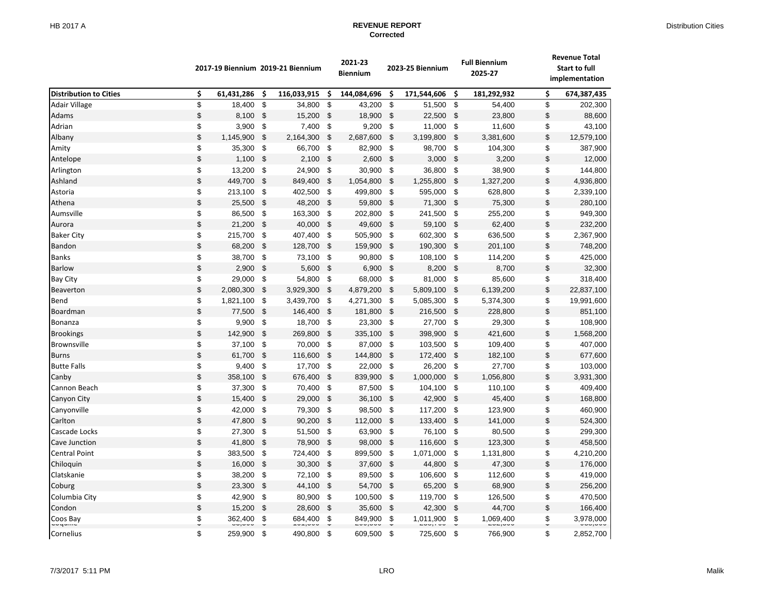|                               |         |            |                           | 2017-19 Biennium 2019-21 Biennium |     | 2021-23<br><b>Biennium</b> |     | 2023-25 Biennium |                | <b>Full Biennium</b><br>2025-27 |      | <b>Revenue Total</b><br><b>Start to full</b><br>implementation |  |
|-------------------------------|---------|------------|---------------------------|-----------------------------------|-----|----------------------------|-----|------------------|----------------|---------------------------------|------|----------------------------------------------------------------|--|
| <b>Distribution to Cities</b> | \$      | 61,431,286 | \$                        | 116,033,915                       | \$  | 144,084,696                | \$  | 171,544,606      | \$             | 181,292,932                     | \$   | 674,387,435                                                    |  |
| Adair Village                 | \$      | 18,400     | $\mathfrak{s}$            | 34,800                            | \$  | 43,200                     | \$  | 51,500           | \$             | 54,400                          | $\,$ | 202,300                                                        |  |
| Adams                         | \$      | 8,100      | \$                        | 15,200                            | \$  | 18,900                     | \$  | 22,500           | \$             | 23,800                          | \$   | 88,600                                                         |  |
| Adrian                        | \$      | 3,900      | \$                        | 7,400                             | \$  | 9,200                      | \$  | 11,000 \$        |                | 11,600                          | \$   | 43,100                                                         |  |
| Albany                        | \$      | 1,145,900  | \$                        | 2,164,300                         | \$  | 2,687,600                  | \$  | 3,199,800        | - \$           | 3,381,600                       | \$   | 12,579,100                                                     |  |
| Amity                         | \$      | 35,300     | \$                        | 66,700                            | \$  | 82,900                     | \$  | 98,700           | $\sqrt[6]{2}$  | 104,300                         | \$   | 387,900                                                        |  |
| Antelope                      | \$      | 1,100      | -\$                       | 2,100                             | \$  | 2,600                      | \$  | 3,000            | \$             | 3,200                           | \$   | 12,000                                                         |  |
| Arlington                     | \$      | 13,200     | \$                        | 24,900                            | \$  | 30,900                     | \$  | 36,800           | \$             | 38,900                          | \$   | 144,800                                                        |  |
| Ashland                       | \$      | 449,700    | $\boldsymbol{\mathsf{S}}$ | 849,400                           | \$  | 1,054,800                  | \$  | 1,255,800        | \$             | 1,327,200                       | \$   | 4,936,800                                                      |  |
| Astoria                       | \$      | 213,100    | - \$                      | 402,500                           | \$  | 499,800                    | \$  | 595,000 \$       |                | 628,800                         | \$   | 2,339,100                                                      |  |
| Athena                        | \$      | 25,500     | \$                        | 48,200                            | \$  | 59,800                     | -\$ | 71,300           | - \$           | 75,300                          | \$   | 280,100                                                        |  |
| Aumsville                     | \$      | 86,500     | \$                        | 163,300                           | \$  | 202,800                    | \$  | 241,500          | \$             | 255,200                         | \$   | 949,300                                                        |  |
| Aurora                        | \$      | 21,200     | $\mathfrak{s}$            | 40,000                            | \$  | 49,600                     | \$  | 59,100           | $\sqrt{3}$     | 62,400                          | \$   | 232,200                                                        |  |
| <b>Baker City</b>             | \$      | 215,700    | -\$                       | 407,400                           | \$  | 505,900                    | \$  | 602,300          | \$             | 636,500                         | \$   | 2,367,900                                                      |  |
| Bandon                        | \$      | 68,200     | $\mathfrak{s}$            | 128,700                           | \$  | 159,900                    | \$  | 190,300          | $\mathfrak{S}$ | 201,100                         | \$   | 748,200                                                        |  |
| <b>Banks</b>                  | \$      | 38,700     | - \$                      | 73,100                            | -\$ | 90,800                     | -\$ | 108,100 \$       |                | 114,200                         | \$   | 425,000                                                        |  |
| <b>Barlow</b>                 | \$      | 2,900      | \$                        | 5,600                             | \$  | 6,900                      | -\$ | 8,200            | - \$           | 8,700                           | \$   | 32,300                                                         |  |
| <b>Bay City</b>               | \$      | 29,000     | -\$                       | 54,800                            | \$  | 68,000                     | \$  | 81,000           | \$             | 85,600                          | \$   | 318,400                                                        |  |
| Beaverton                     | \$      | 2,080,300  | \$                        | 3,929,300                         | \$  | 4,879,200                  | \$  | 5,809,100        | - \$           | 6,139,200                       | \$   | 22,837,100                                                     |  |
| Bend                          | \$      | 1,821,100  | -\$                       | 3,439,700                         | \$  | 4,271,300                  | \$  | 5,085,300        | \$             | 5,374,300                       | \$   | 19,991,600                                                     |  |
| Boardman                      | \$      | 77,500     | \$                        | 146,400                           | \$  | 181,800                    | \$  | 216,500          | - \$           | 228,800                         | \$   | 851,100                                                        |  |
| Bonanza                       | \$      | 9,900      | \$                        | 18,700                            | \$  | 23,300                     | -\$ | 27,700 \$        |                | 29,300                          | \$   | 108,900                                                        |  |
| <b>Brookings</b>              | \$      | 142,900    | \$                        | 269,800                           | \$  | 335,100                    | -\$ | 398,900          | \$             | 421,600                         | \$   | 1,568,200                                                      |  |
| <b>Brownsville</b>            | \$      | 37,100     | \$                        | 70,000                            | \$  | 87,000                     | \$  | 103,500          | \$             | 109,400                         | \$   | 407,000                                                        |  |
| <b>Burns</b>                  | \$      | 61,700     | \$                        | 116,600                           | \$  | 144,800                    | \$  | 172,400          | $\sqrt{3}$     | 182,100                         | \$   | 677,600                                                        |  |
| <b>Butte Falls</b>            | \$      | 9,400      | \$                        | 17,700                            | \$  | 22,000                     | \$  | 26,200           | \$             | 27,700                          | \$   | 103,000                                                        |  |
| Canby                         | \$      | 358,100    | $\mathfrak{S}$            | 676,400                           | \$  | 839,900                    | \$  | 1,000,000        | $\mathfrak{S}$ | 1,056,800                       | \$   | 3,931,300                                                      |  |
| Cannon Beach                  | \$      | 37,300     | - \$                      | 70,400                            | \$  | 87,500                     | -\$ | 104,100 \$       |                | 110,100                         | \$   | 409,400                                                        |  |
| Canyon City                   | \$      | 15,400     | -\$                       | 29,000                            | \$  | 36,100                     | -\$ | 42,900           | - \$           | 45,400                          | \$   | 168,800                                                        |  |
| Canyonville                   | \$      | 42,000     | \$                        | 79,300                            | \$  | 98,500                     | \$  | 117,200          | \$             | 123,900                         | \$   | 460,900                                                        |  |
| Carlton                       | \$      | 47,800     | - \$                      | 90,200                            | \$  | 112,000                    | \$  | 133,400          | - \$           | 141,000                         | \$   | 524,300                                                        |  |
| Cascade Locks                 | \$      | 27,300     | -\$                       | 51,500                            | \$  | 63,900                     | \$  | 76,100           | -\$            | 80,500                          | \$   | 299,300                                                        |  |
| Cave Junction                 | \$      | 41,800     | \$                        | 78,900                            | \$  | 98,000                     | \$  | 116,600          | \$             | 123,300                         | \$   | 458,500                                                        |  |
| <b>Central Point</b>          | \$      | 383,500    | - \$                      | 724,400                           | \$  | 899,500                    | \$  | 1,071,000 \$     |                | 1,131,800                       | \$   | 4,210,200                                                      |  |
| Chiloquin                     | \$      | 16,000     | \$                        | 30,300                            | \$  | 37,600                     | \$  | 44,800           | \$             | 47,300                          | \$   | 176,000                                                        |  |
| Clatskanie                    | \$      | 38,200     | \$                        | 72,100                            | \$  | 89,500                     | \$  | 106,600          | \$             | 112,600                         | \$   | 419,000                                                        |  |
| Coburg                        | \$      | 23,300     | \$                        | 44,100                            | \$  | 54,700                     | \$  | 65,200           | \$             | 68,900                          | \$   | 256,200                                                        |  |
| Columbia City                 | \$      | 42,900     | \$                        | 80,900                            | \$  | 100,500                    | \$  | 119,700          | \$             | 126,500                         | \$   | 470,500                                                        |  |
| Condon                        | \$      | 15,200     | $\boldsymbol{\mathsf{S}}$ | 28,600                            | \$  | 35,600                     | \$  | 42,300           | \$             | 44,700                          | \$   | 166,400                                                        |  |
| Coos Bay<br>uuyum             | \$<br>Ψ | 362,400    | \$                        | 684,400                           | \$  | 849,900                    | \$  | 1,011,900        | \$             | 1,069,400                       | \$   | 3,978,000<br>uuu,uuu                                           |  |
| Cornelius                     | \$      | 259,900    | - \$                      | 490,800                           | \$  | 609,500                    | \$  | 725,600          | \$             | 766,900                         | \$   | 2,852,700                                                      |  |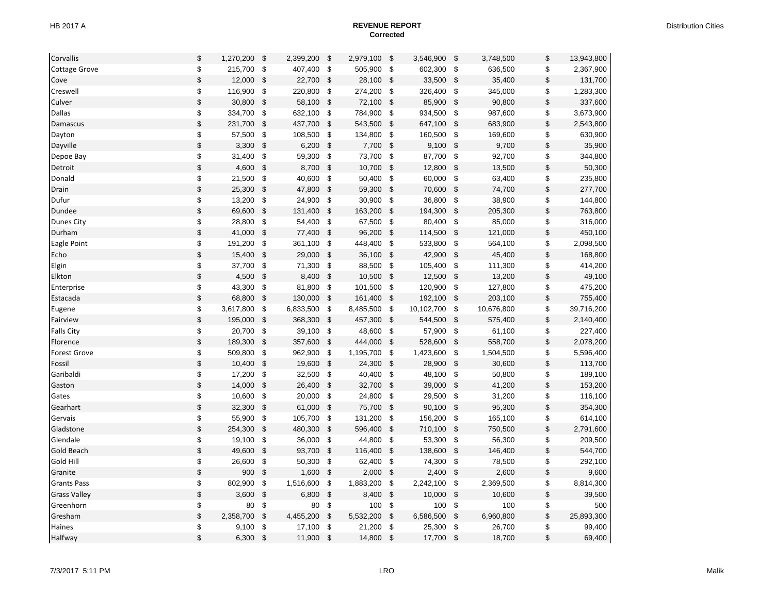| Corvallis            | \$<br>1,270,200 | \$                        | 2,399,200 | \$                      | 2,979,100 | \$                        | 3,546,900  | \$                        | 3,748,500  | \$                                        | 13,943,800 |
|----------------------|-----------------|---------------------------|-----------|-------------------------|-----------|---------------------------|------------|---------------------------|------------|-------------------------------------------|------------|
| <b>Cottage Grove</b> | \$<br>215,700   | \$                        | 407,400   | \$                      | 505,900   | \$                        | 602,300    | \$                        | 636,500    | \$                                        | 2,367,900  |
| Cove                 | \$<br>12,000    | $\sqrt{3}$                | 22,700    | \$                      | 28,100    | \$                        | 33,500     | \$                        | 35,400     | \$                                        | 131,700    |
| Creswell             | \$<br>116,900   | $\sqrt{3}$                | 220,800   | \$                      | 274,200   | \$                        | 326,400    | \$                        | 345,000    | \$                                        | 1,283,300  |
| Culver               | \$<br>30,800    | - \$                      | 58,100    | \$                      | 72,100    | \$                        | 85,900     | $\mathfrak{S}$            | 90,800     | $\,$                                      | 337,600    |
| Dallas               | \$<br>334,700   | $\sqrt{3}$                | 632,100   | \$                      | 784,900   | - \$                      | 934,500    | \$                        | 987,600    | \$                                        | 3,673,900  |
| Damascus             | \$<br>231,700   | $\sqrt[6]{3}$             | 437,700   | \$                      | 543,500   | \$                        | 647,100    | \$                        | 683,900    | $\, \, \raisebox{12pt}{$\scriptstyle \$}$ | 2,543,800  |
| Dayton               | \$<br>57,500    | \$                        | 108,500   | \$                      | 134,800   | \$                        | 160,500    | \$                        | 169,600    | \$                                        | 630,900    |
| Dayville             | \$<br>3,300     | $\sqrt{3}$                | 6,200     | $\frac{1}{2}$           | 7,700     | \$                        | 9,100      | $\boldsymbol{\mathsf{S}}$ | 9,700      | $\, \, \raisebox{12pt}{$\scriptstyle \$}$ | 35,900     |
| Depoe Bay            | \$<br>31,400    | \$                        | 59,300    | \$                      | 73,700    | -\$                       | 87,700     | \$                        | 92,700     | \$                                        | 344,800    |
| Detroit              | \$<br>4,600     | \$                        | 8,700     | \$                      | 10,700    | \$                        | 12,800     | $\boldsymbol{\mathsf{S}}$ | 13,500     | $\,$                                      | 50,300     |
| Donald               | \$<br>21,500    | \$                        | 40,600    | \$                      | 50,400    | - \$                      | 60,000     | \$                        | 63,400     | \$                                        | 235,800    |
| Drain                | \$<br>25,300    | $\sqrt{3}$                | 47,800    | \$                      | 59,300    | \$                        | 70,600     | \$                        | 74,700     | \$                                        | 277,700    |
| Dufur                | \$<br>13,200    | $\sqrt{3}$                | 24,900    | \$                      | 30,900    | \$                        | 36,800     | \$                        | 38,900     | \$                                        | 144,800    |
| Dundee               | \$<br>69,600    | $\sqrt{3}$                | 131,400   | $\mathfrak{s}$          | 163,200   | $\mathfrak{S}$            | 194,300    | $\sqrt[6]{\frac{1}{2}}$   | 205,300    | $\,$                                      | 763,800    |
| <b>Dunes City</b>    | \$<br>28,800    | \$                        | 54,400    | \$                      | 67,500    | \$                        | 80,400     | \$                        | 85,000     | \$                                        | 316,000    |
| Durham               | \$<br>41,000    | $\sqrt{3}$                | 77,400    | \$                      | 96,200    | \$                        | 114,500    | \$                        | 121,000    | \$                                        | 450,100    |
| Eagle Point          | \$<br>191,200   | - \$                      | 361,100   | \$                      | 448,400   | - \$                      | 533,800    | \$                        | 564,100    | \$                                        | 2,098,500  |
| Echo                 | \$<br>15,400    | \$                        | 29,000    | \$                      | 36,100    | \$                        | 42,900     | $\boldsymbol{\mathsf{S}}$ | 45,400     | \$                                        | 168,800    |
| Elgin                | \$<br>37,700    | $\pmb{\mathsf{\$}}$       | 71,300    | \$                      | 88,500    | \$                        | 105,400    | \$                        | 111,300    | \$                                        | 414,200    |
| Elkton               | \$<br>4,500     | - \$                      | 8,400     | \$                      | 10,500    | \$                        | 12,500     | \$                        | 13,200     | $\,$                                      | 49,100     |
| Enterprise           | \$<br>43,300    | \$                        | 81,800    | \$                      | 101,500   | \$                        | 120,900    | $\sqrt[6]{2}$             | 127,800    | \$                                        | 475,200    |
| Estacada             | \$<br>68,800    | $\sqrt{3}$                | 130,000   | $\mathsf{\$}$           | 161,400   | \$                        | 192,100    | $\boldsymbol{\mathsf{S}}$ | 203,100    | $\,$                                      | 755,400    |
| Eugene               | \$<br>3,617,800 | - \$                      | 6,833,500 | \$                      | 8,485,500 | -\$                       | 10,102,700 | -\$                       | 10,676,800 | \$                                        | 39,716,200 |
| Fairview             | \$<br>195,000   | $\mathbb{S}$              | 368,300   | \$                      | 457,300   | $\sqrt[6]{\frac{1}{2}}$   | 544,500    | \$                        | 575,400    | \$                                        | 2,140,400  |
| <b>Falls City</b>    | \$<br>20,700    | \$                        | 39,100    | \$                      | 48,600    | \$                        | 57,900     | $\sqrt[6]{2}$             | 61,100     | \$                                        | 227,400    |
| Florence             | \$<br>189,300   | - \$                      | 357,600   | \$                      | 444,000   | \$                        | 528,600    | \$                        | 558,700    | $\, \, \raisebox{12pt}{$\scriptstyle \$}$ | 2,078,200  |
| <b>Forest Grove</b>  | \$<br>509,800   | \$                        | 962,900   | \$                      | 1,195,700 | \$                        | 1,423,600  | \$                        | 1,504,500  | \$                                        | 5,596,400  |
| Fossil               | \$<br>10,400    | $\sqrt{3}$                | 19,600    | $\sqrt[6]{\frac{1}{2}}$ | 24,300    | \$                        | 28,900     | $\boldsymbol{\mathsf{S}}$ | 30,600     | $\,$                                      | 113,700    |
| Garibaldi            | \$<br>17,200    | \$                        | 32,500    | \$                      | 40,400    | \$                        | 48,100     | \$                        | 50,800     | \$                                        | 189,100    |
| Gaston               | \$<br>14,000    | \$                        | 26,400    | \$                      | 32,700    | \$                        | 39,000     | \$                        | 41,200     | $\, \, \raisebox{12pt}{$\scriptstyle \$}$ | 153,200    |
| Gates                | \$<br>10,600    | $\sqrt{3}$                | 20,000    | \$                      | 24,800    | - \$                      | 29,500     | \$                        | 31,200     | \$                                        | 116,100    |
| Gearhart             | \$<br>32,300    | $\sqrt{3}$                | 61,000    | \$                      | 75,700    | \$                        | 90,100     | \$                        | 95,300     | $\,$                                      | 354,300    |
| Gervais              | \$<br>55,900    | \$                        | 105,700   | \$                      | 131,200   | \$                        | 156,200    | \$                        | 165,100    | \$                                        | 614,100    |
| Gladstone            | \$<br>254,300   | $\sqrt{3}$                | 480,300   | \$                      | 596,400   | \$                        | 710,100    | \$                        | 750,500    | $\,$                                      | 2,791,600  |
| Glendale             | \$<br>19,100    | $\sqrt{3}$                | 36,000    | \$                      | 44,800    | \$                        | 53,300     | \$                        | 56,300     | \$                                        | 209,500    |
| Gold Beach           | \$<br>49,600    | $\sqrt[6]{\frac{1}{2}}$   | 93,700    | $\mathfrak{s}$          | 116,400   | \$                        | 138,600    | $\boldsymbol{\mathsf{S}}$ | 146,400    | \$                                        | 544,700    |
| Gold Hill            | \$<br>26,600    | \$                        | 50,300    | \$                      | 62,400    | -\$                       | 74,300     | \$                        | 78,500     | \$                                        | 292,100    |
| Granite              | \$<br>900       | \$                        | 1,600     | \$                      | 2,000     | \$                        | 2,400      | \$                        | 2,600      | \$                                        | 9,600      |
| <b>Grants Pass</b>   | \$<br>802,900   | \$                        | 1,516,600 | \$                      | 1,883,200 | \$                        | 2,242,100  | \$                        | 2,369,500  | \$                                        | 8,814,300  |
| <b>Grass Valley</b>  | \$<br>3,600     | - \$                      | 6,800     | $\mathfrak{s}$          | 8,400     | \$                        | 10,000     | \$                        | 10,600     | \$                                        | 39,500     |
| Greenhorn            | \$<br>80        | \$                        | 80        | \$                      | 100       | \$                        | 100        | $\sqrt[6]{2}$             | 100        | \$                                        | 500        |
| Gresham              | \$<br>2,358,700 | $\boldsymbol{\mathsf{S}}$ | 4,455,200 | $\mathfrak{s}$          | 5,532,200 | $\boldsymbol{\mathsf{S}}$ | 6,586,500  | $\boldsymbol{\mathsf{S}}$ | 6,960,800  | $\,$                                      | 25,893,300 |
| Haines               | \$<br>9,100     | - \$                      | 17,100    | \$                      | 21,200    | \$                        | 25,300     | \$                        | 26,700     | \$                                        | 99,400     |
| Halfway              | \$<br>6,300     | \$                        | 11,900    | \$                      | 14,800    | \$                        | 17,700     | \$                        | 18,700     | \$                                        | 69,400     |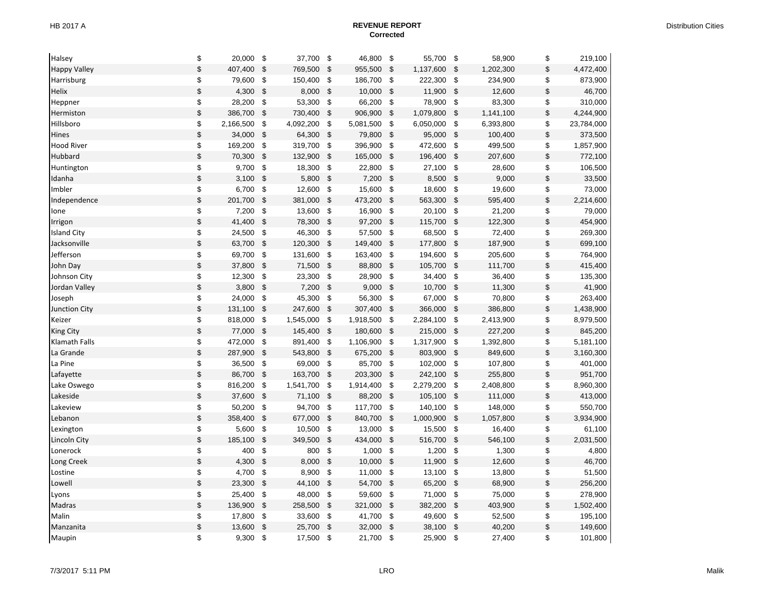| Halsey              | \$<br>20,000    | \$                        | 37,700    | \$                        | 46,800    | \$                        | 55,700    | \$                        | 58,900    | \$                                        | 219,100    |
|---------------------|-----------------|---------------------------|-----------|---------------------------|-----------|---------------------------|-----------|---------------------------|-----------|-------------------------------------------|------------|
| <b>Happy Valley</b> | \$<br>407,400   | $\sqrt{3}$                | 769,500   | \$                        | 955,500   | \$                        | 1,137,600 | \$                        | 1,202,300 | \$                                        | 4,472,400  |
| Harrisburg          | \$<br>79,600    | $\pmb{\mathsf{\$}}$       | 150,400   | \$                        | 186,700   | \$                        | 222,300   | \$                        | 234,900   | \$                                        | 873,900    |
| Helix               | \$<br>4,300     | \$                        | 8,000     | \$                        | 10,000    | \$                        | 11,900    | $\boldsymbol{\mathsf{S}}$ | 12,600    | $\,$                                      | 46,700     |
| Heppner             | \$<br>28,200    | $\sqrt[6]{3}$             | 53,300    | \$                        | 66,200    | \$                        | 78,900    | $\boldsymbol{\$}$         | 83,300    | \$                                        | 310,000    |
| Hermiston           | \$<br>386,700   | \$                        | 730,400   | \$                        | 906,900   | \$                        | 1,079,800 | $\boldsymbol{\mathsf{S}}$ | 1,141,100 | $\, \, \raisebox{12pt}{$\scriptstyle \$}$ | 4,244,900  |
| Hillsboro           | \$<br>2,166,500 | \$                        | 4,092,200 | \$                        | 5,081,500 | \$                        | 6,050,000 | \$                        | 6,393,800 | \$                                        | 23,784,000 |
| Hines               | \$<br>34,000    | $\sqrt{3}$                | 64,300    | $\mathfrak{S}$            | 79,800    | $\mathsf{\$}$             | 95,000    | $\mathsf{\$}$             | 100,400   | $\, \, \raisebox{12pt}{$\scriptstyle \$}$ | 373,500    |
| <b>Hood River</b>   | \$<br>169,200   | $\sqrt{3}$                | 319,700   | \$                        | 396,900   | -\$                       | 472,600   | \$                        | 499,500   | \$                                        | 1,857,900  |
| Hubbard             | \$<br>70,300    | $\sqrt[6]{3}$             | 132,900   | \$                        | 165,000   | \$                        | 196,400   | \$                        | 207,600   | \$                                        | 772,100    |
| Huntington          | \$<br>9,700     | $\sqrt[6]{3}$             | 18,300    | \$                        | 22,800    | \$                        | 27,100    | \$                        | 28,600    | \$                                        | 106,500    |
| Idanha              | \$<br>3,100     | $\sqrt{3}$                | 5,800     | \$                        | 7,200     | \$                        | 8,500     | \$                        | 9,000     | \$                                        | 33,500     |
| Imbler              | \$<br>6,700     | \$                        | 12,600    | \$                        | 15,600    | \$                        | 18,600    | \$                        | 19,600    | \$                                        | 73,000     |
| Independence        | \$<br>201,700   | \$                        | 381,000   | \$                        | 473,200   | $\mathsf{\$}$             | 563,300   | $\mathsf{\$}$             | 595,400   | $\,$                                      | 2,214,600  |
| lone                | \$<br>7,200     | $\sqrt{3}$                | 13,600    | \$                        | 16,900    | -\$                       | 20,100    | \$                        | 21,200    | \$                                        | 79,000     |
| Irrigon             | \$<br>41,400    | \$                        | 78,300    | \$                        | 97,200    | \$                        | 115,700   | \$                        | 122,300   | $\, \, \raisebox{12pt}{$\scriptstyle \$}$ | 454,900    |
| <b>Island City</b>  | \$<br>24,500    | \$                        | 46,300    | \$                        | 57,500    | \$                        | 68,500    | \$                        | 72,400    | \$                                        | 269,300    |
| Jacksonville        | \$<br>63,700    | $\sqrt{3}$                | 120,300   | \$                        | 149,400   | $\boldsymbol{\mathsf{S}}$ | 177,800   | $\boldsymbol{\$}$         | 187,900   | \$                                        | 699,100    |
| Jefferson           | \$<br>69,700    | $\sqrt{3}$                | 131,600   | \$                        | 163,400   | \$                        | 194,600   | \$                        | 205,600   | \$                                        | 764,900    |
| John Day            | \$<br>37,800    | $\sqrt{3}$                | 71,500    | \$                        | 88,800    | $\boldsymbol{\mathsf{S}}$ | 105,700   | $\boldsymbol{\mathsf{S}}$ | 111,700   | \$                                        | 415,400    |
| Johnson City        | \$<br>12,300    | - \$                      | 23,300    | \$                        | 28,900    | \$                        | 34,400    | \$                        | 36,400    | \$                                        | 135,300    |
| Jordan Valley       | \$<br>3,800     | $\sqrt{3}$                | 7,200     | \$                        | 9,000     | \$                        | 10,700    | \$                        | 11,300    | \$                                        | 41,900     |
| Joseph              | \$<br>24,000    | \$                        | 45,300    | \$                        | 56,300    | \$                        | 67,000    | \$                        | 70,800    | \$                                        | 263,400    |
| Junction City       | \$<br>131,100   | $\sqrt{3}$                | 247,600   | $\mathfrak{s}$            | 307,400   | $\mathfrak{S}$            | 366,000   | $\boldsymbol{\$}$         | 386,800   | $\, \, \raisebox{12pt}{$\scriptstyle \$}$ | 1,438,900  |
| Keizer              | \$<br>818,000   | $\sqrt{3}$                | 1,545,000 | \$                        | 1,918,500 | \$                        | 2,284,100 | \$                        | 2,413,900 | \$                                        | 8,979,500  |
| King City           | \$<br>77,000    | $\sqrt{3}$                | 145,400   | $\boldsymbol{\mathsf{S}}$ | 180,600   | \$                        | 215,000   | \$                        | 227,200   | $\, \, \raisebox{12pt}{$\scriptstyle \$}$ | 845,200    |
| Klamath Falls       | \$<br>472,000   | \$                        | 891,400   | \$                        | 1,106,900 | \$                        | 1,317,900 | \$                        | 1,392,800 | \$                                        | 5,181,100  |
| La Grande           | \$<br>287,900   | $\sqrt{3}$                | 543,800   | \$                        | 675,200   | \$                        | 803,900   | \$                        | 849,600   | \$                                        | 3,160,300  |
| La Pine             | \$<br>36,500    | \$                        | 69,000    | \$                        | 85,700    | -\$                       | 102,000   | \$                        | 107,800   | \$                                        | 401,000    |
| Lafayette           | \$<br>86,700    | \$                        | 163,700   | \$                        | 203,300   | $\mathfrak{S}$            | 242,100   | \$                        | 255,800   | $\,$                                      | 951,700    |
| Lake Oswego         | \$<br>816,200   | $\sqrt{3}$                | 1,541,700 | \$                        | 1,914,400 | \$                        | 2,279,200 | $\boldsymbol{\$}$         | 2,408,800 | \$                                        | 8,960,300  |
| Lakeside            | \$<br>37,600    | $\sqrt[6]{3}$             | 71,100    | \$                        | 88,200    | \$                        | 105,100   | \$                        | 111,000   | $\, \, \raisebox{12pt}{$\scriptstyle \$}$ | 413,000    |
| Lakeview            | \$<br>50,200    | \$                        | 94,700    | \$                        | 117,700   | \$                        | 140,100   | \$                        | 148,000   | \$                                        | 550,700    |
| Lebanon             | \$<br>358,400   | $\boldsymbol{\mathsf{S}}$ | 677,000   | $\mathfrak{s}$            | 840,700   | $\mathfrak{S}$            | 1,000,900 | $\mathsf{\$}$             | 1,057,800 | $\, \, \raisebox{12pt}{$\scriptstyle \$}$ | 3,934,900  |
| Lexington           | \$<br>5,600     | $\sqrt{3}$                | 10,500    | \$                        | 13,000    | -\$                       | 15,500    | \$                        | 16,400    | \$                                        | 61,100     |
| Lincoln City        | \$<br>185,100   | \$                        | 349,500   | \$                        | 434,000   | $\boldsymbol{\mathsf{S}}$ | 516,700   | $\boldsymbol{\$}$         | 546,100   | $\,$                                      | 2,031,500  |
| Lonerock            | \$<br>400       | \$                        | 800       | \$                        | 1,000     | \$                        | 1,200     | \$                        | 1,300     | \$                                        | 4,800      |
| Long Creek          | \$<br>4,300     | \$                        | 8,000     | \$                        | 10,000    | \$                        | 11,900    | \$                        | 12,600    | $\, \, \raisebox{12pt}{$\scriptstyle \$}$ | 46,700     |
| Lostine             | \$<br>4,700     | \$                        | 8,900     | \$                        | 11,000    | \$                        | 13,100    | \$                        | 13,800    | \$                                        | 51,500     |
| Lowell              | \$<br>23,300    | $\sqrt[6]{2}$             | 44,100    | $\mathfrak{s}$            | 54,700    | $\mathfrak{S}$            | 65,200    | $\mathsf{\$}$             | 68,900    | $\,$                                      | 256,200    |
| Lyons               | \$<br>25,400    | $\sqrt{3}$                | 48,000    | \$                        | 59,600    | -\$                       | 71,000    | $\sqrt{3}$                | 75,000    | \$                                        | 278,900    |
| Madras              | \$<br>136,900   | -\$                       | 258,500   | \$                        | 321,000   | \$                        | 382,200   | \$                        | 403,900   | $\,$                                      | 1,502,400  |
| Malin               | \$<br>17,800    | \$                        | 33,600    | \$                        | 41,700    | \$                        | 49,600    | \$                        | 52,500    | \$                                        | 195,100    |
| Manzanita           | \$<br>13,600    | $\sqrt[3]{3}$             | 25,700    | $\mathbb{S}$              | 32,000    | $\boldsymbol{\mathsf{S}}$ | 38,100    | $\boldsymbol{\$}$         | 40,200    | \$                                        | 149,600    |
| Maupin              | \$<br>9,300     | \$                        | 17,500    | \$                        | 21,700    | \$                        | 25,900    | \$                        | 27,400    | \$                                        | 101,800    |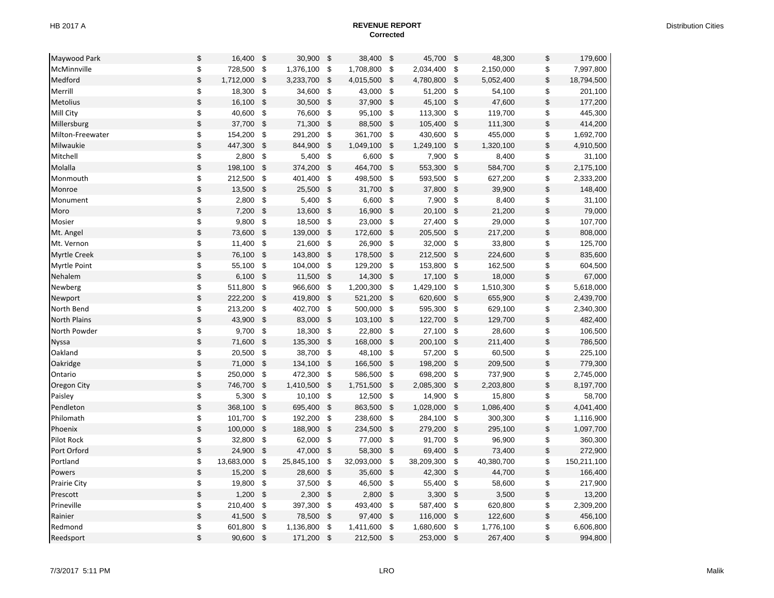| Maywood Park        | \$<br>16,400     | -\$                 | 30,900     | \$             | 38,400     | \$             | 45,700     | \$                        | 48,300     | \$                                        | 179,600     |
|---------------------|------------------|---------------------|------------|----------------|------------|----------------|------------|---------------------------|------------|-------------------------------------------|-------------|
| McMinnville         | \$<br>728,500    | $\sqrt{3}$          | 1,376,100  | \$             | 1,708,800  | \$             | 2,034,400  | \$                        | 2,150,000  | \$                                        | 7,997,800   |
| Medford             | \$<br>1,712,000  | $\sqrt{3}$          | 3,233,700  | \$             | 4,015,500  | \$             | 4,780,800  | $\sqrt[6]{\frac{1}{2}}$   | 5,052,400  | $\,$                                      | 18,794,500  |
| Merrill             | \$<br>18,300     | \$                  | 34,600     | \$             | 43,000     | \$             | 51,200     | \$                        | 54,100     | \$                                        | 201,100     |
| <b>Metolius</b>     | \$<br>16,100     | \$                  | 30,500     | \$             | 37,900     | $\mathfrak{S}$ | 45,100     | $\mathsf{\$}$             | 47,600     | $\,$                                      | 177,200     |
| Mill City           | \$<br>40,600     | $\sqrt{3}$          | 76,600     | \$             | 95,100     | -\$            | 113,300    | $\sqrt[6]{2}$             | 119,700    | \$                                        | 445,300     |
| Millersburg         | \$<br>37,700     | $\sqrt[6]{3}$       | 71,300     | \$             | 88,500     | \$             | 105,400    | \$                        | 111,300    | \$                                        | 414,200     |
| Milton-Freewater    | \$<br>154,200    | \$                  | 291,200    | \$             | 361,700    | \$             | 430,600    | \$                        | 455,000    | \$                                        | 1,692,700   |
| Milwaukie           | \$<br>447,300    | $\sqrt{3}$          | 844,900    | $\mathsf{\$}$  | 1,049,100  | \$             | 1,249,100  | $\boldsymbol{\mathsf{S}}$ | 1,320,100  | $\, \, \raisebox{12pt}{$\scriptstyle \$}$ | 4,910,500   |
| Mitchell            | \$<br>2,800      | \$                  | 5,400      | \$             | 6,600      | \$             | 7,900      | \$                        | 8,400      | \$                                        | 31,100      |
| Molalla             | \$<br>198,100    | $\mathfrak{s}$      | 374,200    | \$             | 464,700    | $\mathsf{\$}$  | 553,300    | $\mathsf{\$}$             | 584,700    | \$                                        | 2,175,100   |
| Monmouth            | \$<br>212,500    | \$                  | 401,400    | \$             | 498,500    | -\$            | 593,500    | \$                        | 627,200    | \$                                        | 2,333,200   |
| Monroe              | \$<br>13,500     | -\$                 | 25,500     | \$             | 31,700     | \$             | 37,800     | \$                        | 39,900     | \$                                        | 148,400     |
| Monument            | \$<br>2,800      | \$                  | 5,400      | \$             | 6,600      | \$             | 7,900      | \$                        | 8,400      | \$                                        | 31,100      |
| Moro                | \$<br>7,200      | $\sqrt{3}$          | 13,600     | $\mathfrak{s}$ | 16,900     | $\mathfrak{S}$ | 20,100     | $\boldsymbol{\mathsf{S}}$ | 21,200     | $\, \, \raisebox{12pt}{$\scriptstyle \$}$ | 79,000      |
| Mosier              | \$<br>9,800      | \$                  | 18,500     | \$             | 23,000     | \$             | 27,400     | \$                        | 29,000     | \$                                        | 107,700     |
| Mt. Angel           | \$<br>73,600     | $\sqrt[6]{3}$       | 139,000    | \$             | 172,600    | \$             | 205,500    | \$                        | 217,200    | $\,$                                      | 808,000     |
| Mt. Vernon          | \$<br>11,400     | \$                  | 21,600     | \$             | 26,900     | -\$            | 32,000     | \$                        | 33,800     | \$                                        | 125,700     |
| <b>Myrtle Creek</b> | \$<br>76,100     | \$                  | 143,800    | \$             | 178,500    | $\mathfrak{S}$ | 212,500    | \$                        | 224,600    | \$                                        | 835,600     |
| Myrtle Point        | \$<br>55,100     | $\pmb{\mathsf{\$}}$ | 104,000    | \$             | 129,200    | \$             | 153,800    | \$                        | 162,500    | \$                                        | 604,500     |
| Nehalem             | \$<br>6,100      | \$                  | 11,500     | \$             | 14,300     | \$             | 17,100     | \$                        | 18,000     | $\,$                                      | 67,000      |
| Newberg             | \$<br>511,800    | - \$                | 966,600    | \$             | 1,200,300  | -\$            | 1,429,100  | \$                        | 1,510,300  | \$                                        | 5,618,000   |
| Newport             | \$<br>222,200    | $\mathfrak{s}$      | 419,800    | \$             | 521,200    | \$             | 620,600    | $\boldsymbol{\$}$         | 655,900    | \$                                        | 2,439,700   |
| North Bend          | \$<br>213,200    | \$                  | 402,700    | \$             | 500,000    | - \$           | 595,300    | -\$                       | 629,100    | \$                                        | 2,340,300   |
| <b>North Plains</b> | \$<br>43,900     | $\sqrt{3}$          | 83,000     | \$             | 103,100    | \$             | 122,700    | \$                        | 129,700    | $\,$                                      | 482,400     |
| North Powder        | \$<br>9,700      | \$                  | 18,300     | \$             | 22,800     | \$             | 27,100     | \$                        | 28,600     | \$                                        | 106,500     |
| Nyssa               | \$<br>71,600     | -\$                 | 135,300    | \$             | 168,000    | \$             | 200,100    | \$                        | 211,400    | \$                                        | 786,500     |
| Oakland             | \$<br>20,500     | \$                  | 38,700     | \$             | 48,100     | \$             | 57,200     | \$                        | 60,500     | \$                                        | 225,100     |
| Oakridge            | \$<br>71,000     | $\sqrt[6]{3}$       | 134,100    | \$             | 166,500    | \$             | 198,200    | $\boldsymbol{\mathsf{S}}$ | 209,500    | $\,$                                      | 779,300     |
| Ontario             | \$<br>250,000    | - \$                | 472,300    | -\$            | 586,500    | \$             | 698,200    | \$                        | 737,900    | \$                                        | 2,745,000   |
| Oregon City         | \$<br>746,700    | \$                  | 1,410,500  | \$             | 1,751,500  | \$             | 2,085,300  | \$                        | 2,203,800  | \$                                        | 8,197,700   |
| Paisley             | \$<br>5,300      | \$                  | 10,100     | \$             | 12,500     | \$             | 14,900     | $\sqrt[6]{2}$             | 15,800     | \$                                        | 58,700      |
| Pendleton           | \$<br>368,100    | \$                  | 695,400    | \$             | 863,500    | $\mathfrak{S}$ | 1,028,000  | \$                        | 1,086,400  | $\, \, \raisebox{12pt}{$\scriptstyle \$}$ | 4,041,400   |
| Philomath           | \$<br>101,700    | \$                  | 192,200    | \$             | 238,600    | \$             | 284,100    | \$                        | 300,300    | \$                                        | 1,116,900   |
| Phoenix             | \$<br>100,000    | $\sqrt{3}$          | 188,900    | \$             | 234,500    | \$             | 279,200    | \$                        | 295,100    | $\,$                                      | 1,097,700   |
| Pilot Rock          | \$<br>32,800     | \$                  | 62,000     | \$             | 77,000     | \$             | 91,700     | \$                        | 96,900     | \$                                        | 360,300     |
| Port Orford         | \$<br>24,900     | \$                  | 47,000     | \$             | 58,300     | $\mathsf{\$}$  | 69,400     | $\mathsf{\$}$             | 73,400     | $\, \, \raisebox{12pt}{$\scriptstyle \$}$ | 272,900     |
| Portland            | \$<br>13,683,000 | \$                  | 25,845,100 | \$             | 32,093,000 | \$             | 38,209,300 | \$                        | 40,380,700 | \$                                        | 150,211,100 |
| Powers              | \$<br>15,200     | $\sqrt{3}$          | 28,600     | \$             | 35,600     | \$             | 42,300     | $\boldsymbol{\mathsf{S}}$ | 44,700     | \$                                        | 166,400     |
| <b>Prairie City</b> | \$<br>19,800     | \$                  | 37,500     | \$             | 46,500     | \$             | 55,400     | \$                        | 58,600     | \$                                        | 217,900     |
| Prescott            | \$<br>1,200      | $\sqrt{3}$          | 2,300      | \$             | 2,800      | \$             | 3,300      | $\boldsymbol{\$}$         | 3,500      | $\,$                                      | 13,200      |
| Prineville          | \$<br>210,400    | \$                  | 397,300    | \$             | 493,400    | \$             | 587,400    | \$                        | 620,800    | \$                                        | 2,309,200   |
| Rainier             | \$<br>41,500     | \$                  | 78,500     | $\mathfrak{s}$ | 97,400     | $\mathfrak{S}$ | 116,000    | $\boldsymbol{\mathsf{S}}$ | 122,600    | $\,$                                      | 456,100     |
| Redmond             | \$<br>601,800    | \$                  | 1,136,800  | \$             | 1,411,600  | \$             | 1,680,600  | \$                        | 1,776,100  | \$                                        | 6,606,800   |
| Reedsport           | \$<br>90,600     | \$                  | 171,200    | \$             | 212,500    | \$             | 253,000    | -\$                       | 267,400    | \$                                        | 994,800     |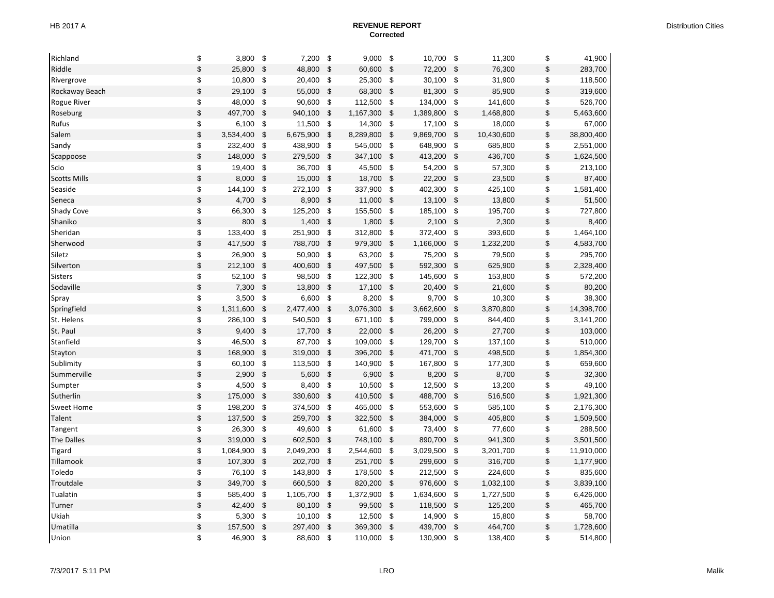| Richland            | \$<br>3,800      | \$                 | 7,200     | \$                        | 9,000     | \$                        | 10,700    | \$                        | 11,300     | \$                                        | 41,900     |
|---------------------|------------------|--------------------|-----------|---------------------------|-----------|---------------------------|-----------|---------------------------|------------|-------------------------------------------|------------|
| Riddle              | \$<br>25,800     | $\sqrt{3}$         | 48,800    | $\sqrt{3}$                | 60,600    | \$                        | 72,200    | $\sqrt{3}$                | 76,300     | \$                                        | 283,700    |
| Rivergrove          | \$<br>10,800     | \$                 | 20,400    | \$                        | 25,300    | \$                        | 30,100    | \$                        | 31,900     | \$                                        | 118,500    |
| Rockaway Beach      | \$<br>29,100     | $\mathfrak{s}$     | 55,000    | $\sqrt{3}$                | 68,300    | \$                        | 81,300    | $\boldsymbol{\mathsf{S}}$ | 85,900     | $\, \, \raisebox{12pt}{$\scriptstyle \$}$ | 319,600    |
| <b>Rogue River</b>  | \$<br>48,000     | $\sqrt{3}$         | 90,600    | \$                        | 112,500   | \$                        | 134,000   | $\,$                      | 141,600    | \$                                        | 526,700    |
| Roseburg            | \$<br>497,700    | $\sqrt{3}$         | 940,100   | $\sqrt{3}$                | 1,167,300 | \$                        | 1,389,800 | \$                        | 1,468,800  | $\, \, \raisebox{12pt}{$\scriptstyle \$}$ | 5,463,600  |
| Rufus               | \$<br>6,100      | $\sqrt{3}$         | 11,500    | \$                        | 14,300    | \$                        | 17,100    | \$                        | 18,000     | \$                                        | 67,000     |
| Salem               | \$<br>3,534,400  | \$                 | 6,675,900 | $\mathsf{\$}$             | 8,289,800 | $\mathfrak{S}$            | 9,869,700 | $\mathfrak{s}$            | 10,430,600 | \$                                        | 38,800,400 |
| Sandy               | \$<br>232,400 \$ |                    | 438,900   | \$                        | 545,000   | \$                        | 648,900   | \$                        | 685,800    | \$                                        | 2,551,000  |
| Scappoose           | \$<br>148,000    | $\mathfrak{s}$     | 279,500   | \$                        | 347,100   | \$                        | 413,200   | $\boldsymbol{\mathsf{S}}$ | 436,700    | $\,$                                      | 1,624,500  |
| Scio                | \$<br>19,400     | - \$               | 36,700    | \$                        | 45,500    | \$                        | 54,200    | $\pmb{\mathsf{\$}}$       | 57,300     | \$                                        | 213,100    |
| <b>Scotts Mills</b> | \$<br>8,000      | $\sqrt{3}$         | 15,000    | \$                        | 18,700    | \$                        | 22,200    | $\boldsymbol{\$}$         | 23,500     | \$                                        | 87,400     |
| Seaside             | \$<br>144,100    | $\sqrt{3}$         | 272,100   | \$                        | 337,900   | \$                        | 402,300   | \$                        | 425,100    | \$                                        | 1,581,400  |
| Seneca              | \$<br>4,700      | \$                 | 8,900     | $\mathfrak{S}$            | 11,000    | $\mathfrak{S}$            | 13,100    | $\mathfrak{s}$            | 13,800     | $\,$                                      | 51,500     |
| <b>Shady Cove</b>   | \$<br>66,300     | $\sqrt{3}$         | 125,200   | \$                        | 155,500   | \$                        | 185,100   | \$                        | 195,700    | \$                                        | 727,800    |
| Shaniko             | \$<br>800        | $\sqrt{3}$         | 1,400     | \$                        | 1,800     | \$                        | 2,100     | \$                        | 2,300      | \$                                        | 8,400      |
| Sheridan            | \$<br>133,400    | \$                 | 251,900   | \$                        | 312,800   | \$                        | 372,400   | $\boldsymbol{\mathsf{S}}$ | 393,600    | \$                                        | 1,464,100  |
| Sherwood            | \$<br>417,500    | $\sqrt{3}$         | 788,700   | $\sqrt{3}$                | 979,300   | \$                        | 1,166,000 | $\boldsymbol{\$}$         | 1,232,200  | $\,$                                      | 4,583,700  |
| Siletz              | \$<br>26,900     | - \$               | 50,900    | \$                        | 63,200    | \$                        | 75,200    | \$                        | 79,500     | \$                                        | 295,700    |
| Silverton           | \$<br>212,100    | $\sqrt{3}$         | 400,600   | $\mathsf{\$}$             | 497,500   | $\boldsymbol{\mathsf{S}}$ | 592,300   | $\boldsymbol{\mathsf{S}}$ | 625,900    | $\, \, \raisebox{12pt}{$\scriptstyle \$}$ | 2,328,400  |
| <b>Sisters</b>      | \$<br>52,100 \$  |                    | 98,500    | \$                        | 122,300   | -\$                       | 145,600   | \$                        | 153,800    | \$                                        | 572,200    |
| Sodaville           | \$<br>7,300      | - \$               | 13,800    | $\sqrt{3}$                | 17,100    | \$                        | 20,400    | \$                        | 21,600     | \$                                        | 80,200     |
| Spray               | \$<br>3,500      | \$                 | 6,600     | \$                        | 8,200     | \$                        | 9,700     | \$                        | 10,300     | \$                                        | 38,300     |
| Springfield         | \$<br>1,311,600  | \$                 | 2,477,400 | $\mathsf{\$}$             | 3,076,300 | $\mathcal{S}$             | 3,662,600 | \$                        | 3,870,800  | $\,$                                      | 14,398,700 |
| St. Helens          | \$<br>286,100    | - \$               | 540,500   | -\$                       | 671,100   | \$                        | 799,000   | \$                        | 844,400    | \$                                        | 3,141,200  |
| St. Paul            | \$<br>9,400      | $\sqrt{3}$         | 17,700    | $\boldsymbol{\mathsf{S}}$ | 22,000    | \$                        | 26,200    | \$                        | 27,700     | $\,$                                      | 103,000    |
| Stanfield           | \$<br>46,500     | $\sqrt{3}$         | 87,700    | \$                        | 109,000   | \$                        | 129,700   | \$                        | 137,100    | \$                                        | 510,000    |
| Stayton             | \$<br>168,900    | $\sqrt{3}$         | 319,000   | \$                        | 396,200   | $\boldsymbol{\mathsf{S}}$ | 471,700   | \$                        | 498,500    | \$                                        | 1,854,300  |
| Sublimity           | \$<br>60,100     | $\sqrt{3}$         | 113,500   | \$                        | 140,900   | \$                        | 167,800   | \$                        | 177,300    | \$                                        | 659,600    |
| Summerville         | \$<br>2,900      | \$                 | 5,600     | \$                        | 6,900     | $\mathfrak{s}$            | 8,200     | $\boldsymbol{\mathsf{S}}$ | 8,700      | \$                                        | 32,300     |
| Sumpter             | \$<br>4,500      | - \$               | 8,400     | \$                        | 10,500    | \$                        | 12,500    | $\pmb{\mathbb{S}}$        | 13,200     | \$                                        | 49,100     |
| Sutherlin           | \$<br>175,000    | $\sqrt{3}$         | 330,600   | $\boldsymbol{\mathsf{S}}$ | 410,500   | $\boldsymbol{\mathsf{S}}$ | 488,700   | \$                        | 516,500    | $\,$                                      | 1,921,300  |
| <b>Sweet Home</b>   | \$<br>198,200    | - \$               | 374,500   | \$                        | 465,000   | \$                        | 553,600   | \$                        | 585,100    | \$                                        | 2,176,300  |
| Talent              | \$<br>137,500    | $\mathbf{\hat{S}}$ | 259,700   | $\mathsf{\$}$             | 322,500   | $\mathfrak{s}$            | 384,000   | $\mathfrak{s}$            | 405,800    | $\, \, \raisebox{12pt}{$\scriptstyle \$}$ | 1,509,500  |
| Tangent             | \$<br>26,300 \$  |                    | 49,600    | \$                        | 61,600    | -\$                       | 73,400    | \$                        | 77,600     | \$                                        | 288,500    |
| The Dalles          | \$<br>319,000    | \$                 | 602,500   | \$                        | 748,100   | \$                        | 890,700   | \$                        | 941,300    | \$                                        | 3,501,500  |
| <b>Tigard</b>       | \$<br>1,084,900  | - \$               | 2,049,200 | \$                        | 2,544,600 | \$                        | 3,029,500 | \$                        | 3,201,700  | \$                                        | 11,910,000 |
| Tillamook           | \$<br>107,300 \$ |                    | 202,700   | \$                        | 251,700   | \$                        | 299,600   | \$                        | 316,700    | \$                                        | 1,177,900  |
| Toledo              | \$<br>76,100     | $\sqrt{3}$         | 143,800   | \$                        | 178,500   | \$                        | 212,500   | \$                        | 224,600    | \$                                        | 835,600    |
| Troutdale           | \$<br>349,700    | \$                 | 660,500   | $\mathsf{\$}$             | 820,200   | $\mathfrak{s}$            | 976,600   | $\mathfrak{s}$            | 1,032,100  | \$                                        | 3,839,100  |
| Tualatin            | \$<br>585,400 \$ |                    | 1,105,700 | \$                        | 1,372,900 | - \$                      | 1,634,600 | \$                        | 1,727,500  | \$                                        | 6,426,000  |
| Turner              | \$<br>42,400     | - \$               | 80,100    | \$                        | 99,500    | \$                        | 118,500   | \$                        | 125,200    | \$                                        | 465,700    |
| Ukiah               | \$<br>5,300      | \$                 | 10,100    | \$                        | 12,500    | \$                        | 14,900    | \$                        | 15,800     | \$                                        | 58,700     |
| Umatilla            | \$<br>157,500    | \$                 | 297,400   | $\mathbb{S}$              | 369,300   | $\mathfrak{S}$            | 439,700   | $\boldsymbol{\mathsf{S}}$ | 464,700    | \$                                        | 1,728,600  |
| Union               | \$<br>46,900     | \$                 | 88,600    | \$                        | 110,000   | \$                        | 130,900   | \$                        | 138,400    | \$                                        | 514,800    |